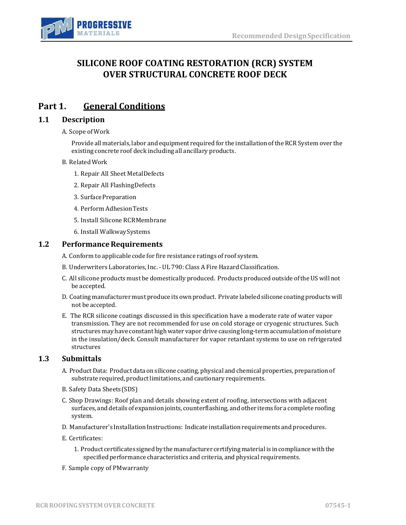

# **SILICONE ROOF COATING RESTORATION (RCR) SYSTEM OVER STRUCTURAL CONCRETE ROOF DECK**

# **Part 1. General Conditions**

#### **1.1 Description**

A. Scope ofWork

Provide all materials, labor and equipment required for the installation oftheRCR System over the existing concrete roof deck including all ancillary products.

#### B. RelatedWork

- 1. Repair All Sheet MetalDefects
- 2. Repair All FlashingDefects
- 3. SurfacePreparation
- 4. Perform AdhesionTests
- 5. Install Silicone RCRMembrane
- 6. Install WalkwaySystems

#### **1.2** Performance Requirements

- A. Conform to applicable code for fire resistance ratings of roof system.
- B. Underwriters Laboratories, Inc. UL 790: Class A Fire Hazard Classification.
- C. All silicone products must be domestically produced. Products produced outside ofthe US will not be accepted.
- D. Coating manufacturer must produce its own product. Private labeledsilicone coating productswill not beaccepted.
- E. The RCR silicone coatings discussed in this specification have a moderate rate of water vapor transmission. They are not recommended for use on cold storage or cryogenic structures. Such structures may have constanthighwater vapor drive causing long-termaccumulation ofmoisture in the insulation/deck. Consult manufacturer for vapor retardant systems to use on refrigerated structures

### **1.3 Submittals**

- A. Product Data: Product data on silicone coating, physical and chemical properties, preparation of substrate required, product limitations, and cautionary requirements.
- B. Safety Data Sheets(SDS)
- C. Shop Drawings: Roof plan and details showing extent of roofing, intersections with adjacent surfaces,and details of expansion joints, counterflashing, andother items for a complete roofing system.
- D. Manufacturer's Installation Instructions: Indicate installation requirements and procedures.
- E. Certificates:
	- 1. Product certificates signed by the manufacturer certifyingmaterial is incompliancewiththe specified performance characteristics and criteria, and physical requirements.
- F. Sample copy of PMwarranty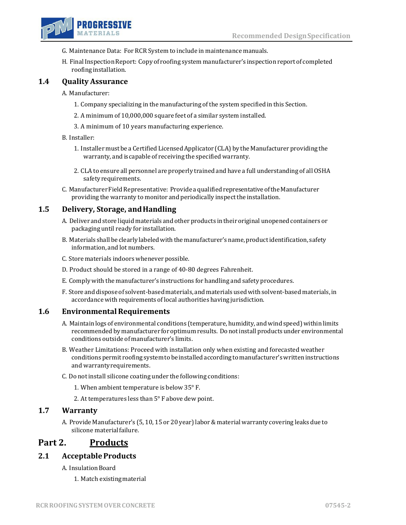

- G. MaintenanceData: For RCR System to include in maintenance manuals.
- H. Final Inspection Report: Copy of roofing system manufacturer's inspection report of completed roofinginstallation.

### **1.4 Quality Assurance**

- A. Manufacturer:
	- 1. Company specializing in the manufacturing ofthe system specified in this Section.
	- 2. A minimum of 10,000,000 square feet of a similar system installed.
	- 3. A minimum of 10 years manufacturing experience.

#### B. Installer:

- 1. Installermust be a Certified LicensedApplicator (CLA) by the Manufacturer providing the warranty, and is capable of receiving the specified warranty.
- 2. CLA to ensure all personnel are properly trained and have a full understanding of all OSHA safetyrequirements.
- C. Manufacturer Field Representative: Provide a qualified representative of the Manufacturer providing the warranty to monitor and periodically inspect the installation.

#### **1.5 Delivery, Storage, andHandling**

- A. Deliver and store liquid materials and other products in their original unopened containers or packaging until ready for installation.
- B. Materials shall be clearly labeledwith themanufacturer'sname,productidentification, safety information, and lot numbers.
- C. Store materials indoors whenever possible.
- D. Product should be stored in a range of 40-80 degrees Fahrenheit.
- E. Comply with the manufacturer's instructions for handling and safety procedures.
- F. Store and dispose of solvent-based materials, and materials used with solvent-based materials, in accordance with requirements of local authorities having jurisdiction.

#### **1.6 Environmental Requirements**

- A. Maintain logs of environmental conditions (temperature, humidity, and wind speed) within limits recommended by manufacturer foroptimum results. Do notinstall productsunder environmental conditions outside of manufacturer's limits.
- B. Weather Limitations: Proceed with installation only when existing and forecasted weather conditions permit roofing system to be installed according to manufacturer's written instructions and warrantyrequirements.
- C. Do notinstall silicone coating under the following conditions:
	- 1. When ambient temperature is below 35° F.
	- 2. Attemperatures less than 5° F above dew point.

#### **1.7 Warranty**

A. Provide Manufacturer's (5, 10, 15 or 20 year)labor& material warranty covering leaks due to silicone materialfailure.

### **Part 2. Products**

#### **2.1 AcceptableProducts**

- A. Insulation Board
	- 1. Match existingmaterial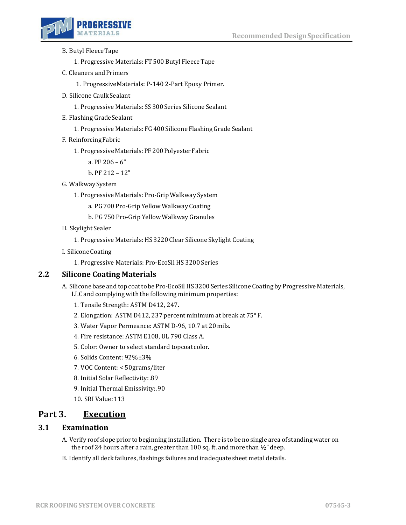

- B. Butyl FleeceTape
	- 1. Progressive Materials: FT 500 Butyl Fleece Tape
- C. Cleaners andPrimers

1. ProgressiveMaterials: P-140 2-Part Epoxy Primer.

- D. Silicone CaulkSealant
	- 1. Progressive Materials: SS 300 Series Silicone Sealant
- E. Flashing GradeSealant
	- 1. Progressive Materials: FG 400 Silicone Flashing Grade Sealant
- F. ReinforcingFabric
	- 1. Progressive Materials: PF 200 Polyester Fabric
		- a. PF 206 6"

b. PF 212 – 12"

- G. WalkwaySystem
	- 1. Progressive Materials: Pro-GripWalkway System
		- a. PG 700 Pro-Grip Yellow Walkway Coating
		- b. PG 750 Pro-Grip Yellow Walkway Granules
- H. Skylight Sealer
	- 1. Progressive Materials: HS 3220 Clear Silicone Skylight Coating
- I. SiliconeCoating
	- 1. Progressive Materials: Pro-EcoSil HS 3200 Series

#### **2.2 Silicone Coating Materials**

- A. Silicone base and top coat to be Pro-EcoSil HS 3200 Series Silicone Coating by Progressive Materials, LLC and complying with the following minimum properties:
	- 1. Tensile Strength: ASTM D412, 247.
	- 2. Elongation: ASTM D412, 237 percent minimum at break at 75° F.
	- 3. Water Vapor Permeance: ASTM D-96, 10.7 at 20mils.
	- 4. Fire resistance: ASTM E108, UL 790 Class A.
	- 5. Color: Owner to select standard topcoat color.
	- 6. Solids Content: 92%±3%
	- 7. VOC Content: < 50grams/liter
	- 8. Initial Solar Reflectivity:.89
	- 9. Initial Thermal Emissivity:.90
	- 10. SRI Value:113

## **Part 3. Execution**

### **3.1 Examination**

- A. Verify roof slope prior to beginning installation. There is to be no single area of standing water on the roof 24 hours after a rain, greater than 100 sq. ft. and more than  $\frac{1}{2}$ " deep.
- B. Identify all deck failures, flashings failures and inadequate sheet metal details.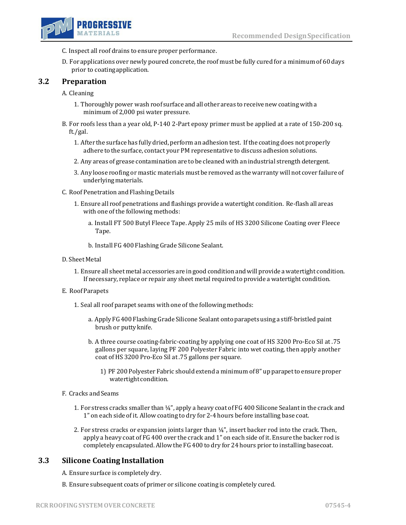

- C. Inspect all roof drains to ensure proper performance.
- D. For applications over newly poured concrete, the roof must be fully cured for a minimum of 60 days prior to coatingapplication.

### **3.2 Preparation**

- A. Cleaning
	- 1. Thoroughly power wash roof surface and all other areas to receivenewcoating with a minimum of 2,000 psi water pressure.
- B. For roofs less than a year old, P-140 2-Part epoxy primer must be applied at a rate of 150-200 sq. ft./gal.
	- 1. After the surface has fully dried, perform an adhesion test. Ifthe coating does not properly adhere to the surface, contact your PM representative to discuss adhesion solutions.
	- 2. Any areas of grease contamination are to be cleaned with an industrial strength detergent.
	- 3. Any loose roofing or mastic materials must be removed as thewarranty will not cover failure of underlyingmaterials.
- C. Roof Penetration and FlashingDetails
	- 1. Ensure all roof penetrations and flashings provide a watertight condition. Re-flash all areas with one of the following methods:
		- a. Install FT 500 Butyl Fleece Tape. Apply 25 mils of HS 3200 Silicone Coating over Fleece Tape.
		- b. Install FG 400 Flashing Grade Silicone Sealant.
- D. Sheet Metal
	- 1. Ensure all sheetmetal accessories are in good condition andwill provide a watertight condition. If necessary, replace or repair any sheet metal required to provide a watertight condition.
- E. RoofParapets
	- 1. Seal all roof parapet seams with one of the following methods:
		- a. Apply FG 400 Flashing Grade Silicone Sealant onto parapets using a stiff-bristled paint brush or puttyknife.
		- b. A three course coating-fabric-coating by applying one coat of HS 3200 Pro-Eco Sil at .75 gallons per square, laying PF 200 Polyester Fabric into wet coating, then apply another coat of HS 3200 Pro-Eco Sil at.75 gallons per square.
			- 1) PF 200 Polyester Fabric should extend a minimum of 8" up parapetto ensure proper watertight condition.

#### F. Cracks andSeams

- 1. For stress cracks smaller than 1/4", apply a heavy coat of FG 400 Silicone Sealant in the crack and 1" on each side of it. Allow coating to dry for 2-4 hours before installing base coat.
- 2. For stress cracks or expansion joints larger than  $\frac{1}{4}$ ", insert backer rod into the crack. Then, apply a heavy coat of FG 400 over the crack and 1" on each side of it. Ensure the backer rod is completely encapsulated. Allow the FG 400 to dry for 24 hours prior to installing basecoat.

### **3.3 Silicone Coating Installation**

- A. Ensure surface is completely dry.
- B. Ensure subsequent coats of primer or silicone coating is completely cured.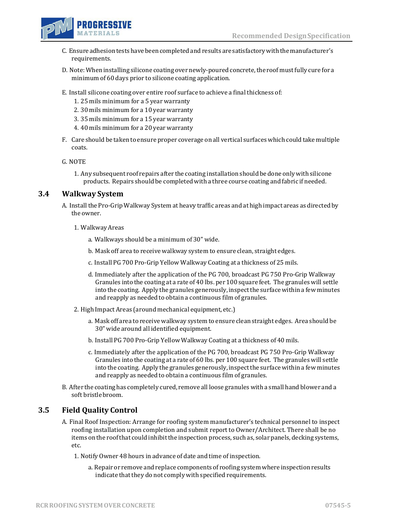

- C. Ensureadhesion tests havebeencompletedand results are satisfactorywith the manufacturer's requirements.
- D. Note: When installing silicone coating over newly-poured concrete, the roof must fully cure for a minimum of 60 days prior to silicone coating application.
- E. Install silicone coating over entire roof surface to achieve a final thickness of:
	- 1. 25 mils minimum for a 5 year warranty
	- 2. 30 mils minimum for a 10 year warranty
	- 3. 35 mils minimum for a 15 yearwarranty
	- 4. 40 mils minimum for a 20 year warranty
- F. Care should be taken to ensure proper coverage on all vertical surfaces which could take multiple coats.

G. NOTE

1. Any subsequent roof repairs after the coating installationshould be done only with silicone products. Repairs should be completed with a three course coating and fabric if needed.

### **3.4 Walkway System**

- A. Install the Pro-Grip Walkway System at heavy traffic areas and at high impact areas as directed by the owner.
	- 1. WalkwayAreas
		- a. Walkways should be a minimum of 30" wide.
		- b. Mask off area to receive walkway system to ensure clean, straight edges.
		- c. Install PG 700 Pro-Grip Yellow Walkway Coating at a thickness of 25 mils.
		- d. Immediately after the application of the PG 700, broadcast PG 750 Pro-Grip Walkway Granules into the coating at a rate of 40 lbs. per 100 square feet. The granules will settle into the coating. Apply the granules generously, inspectthe surfacewithin a few minutes and reapply as needed to obtain a continuous film of granules.
	- 2. High Impact Areas (around mechanical equipment, etc.)
		- a. Mask off area to receive walkway system to ensure clean straight edges. Area should be 30" wide around all identified equipment.
		- b. Install PG 700 Pro-Grip Yellow Walkway Coating at a thickness of 40 mils.
		- c. Immediately after the application of the PG 700, broadcast PG 750 Pro-Grip Walkway Granules into the coating at a rate of 60 lbs. per 100 square feet. The granules will settle into the coating. Apply the granules generously, inspectthe surfacewithin a few minutes and reapply as needed to obtain a continuous film of granules.
- B. After the coating has completely cured, remove all loose granules with a small hand blower and a soft bristlebroom.

### **3.5 Field Quality Control**

- A. Final Roof Inspection: Arrange for roofing system manufacturer's technical personnel to inspect roofing installation upon completion and submit report to Owner/Architect. There shall be no items on the roofthat could inhibitthe inspection process, such as, solar panels, decking systems, etc.
	- 1. Notify Owner 48 hours in advance of date and time of inspection.
		- a. Repairor remove and replace components of roofing systemwhere inspection results indicate that they do not comply with specified requirements.